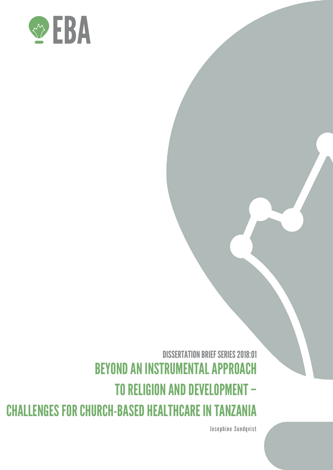

DISSERTATION BRIEF SERIES 2018:01 BEYOND AN INSTRUMENTAL APPROACH TO RELIGION AND DEVELOPMENT – CHALLENGES FOR CHURCH-BASED HEALTHCARE IN TANZANIA

Josephine Sundqvist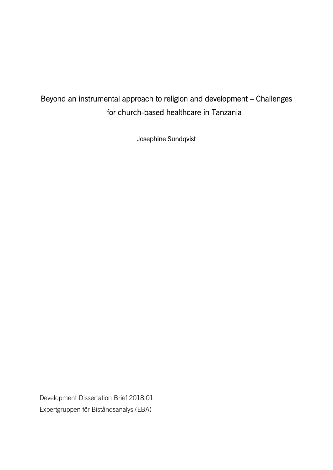# Beyond an instrumental approach to religion and development – Challenges for church-based healthcare in Tanzania

Josephine Sundqvist

Development Dissertation Brief 2018:01 Expertgruppen för Biståndsanalys (EBA)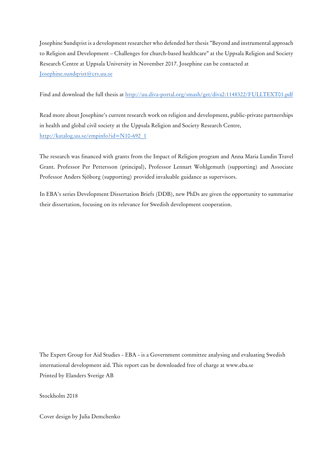Josephine Sundqvist is a development researcher who defended her thesis "Beyond and instrumental approach to Religion and Development – Challenges for church-based healthcare" at the Uppsala Religion and Society Research Centre at Uppsala University in November 2017. Josephine can be contacted at Josephine.sundqvist@crs.uu.se

Find and download the full thesis at http://uu.diva-portal.org/smash/get/diva2:1148322/FULLTEXT01.pdf

Read more about Josephine's current research work on religion and development, public-private partnerships in health and global civil society at the Uppsala Religion and Society Research Centre, http://katalog.uu.se/empinfo?id=N10-692\_1

The research was financed with grants from the Impact of Religion program and Anna Maria Lundin Travel Grant. Professor Per Pettersson (principal), Professor Lennart Wohlgemuth (supporting) and Associate Professor Anders Sjöborg (supporting) provided invaluable guidance as supervisors.

In EBA's series Development Dissertation Briefs (DDB), new PhDs are given the opportunity to summarise their dissertation, focusing on its relevance for Swedish development cooperation.

The Expert Group for Aid Studies - EBA - is a Government committee analysing and evaluating Swedish international development aid. This report can be downloaded free of charge at www.eba.se Printed by Elanders Sverige AB

Stockholm 2018

Cover design by Julia Demchenko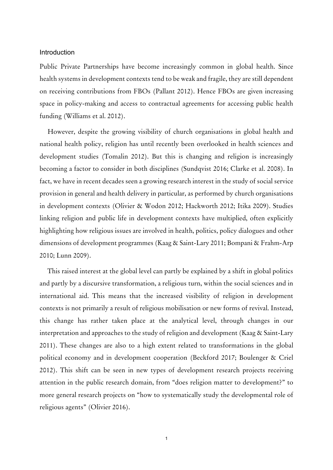# Introduction

Public Private Partnerships have become increasingly common in global health. Since health systems in development contexts tend to be weak and fragile, they are still dependent on receiving contributions from FBOs (Pallant 2012). Hence FBOs are given increasing space in policy-making and access to contractual agreements for accessing public health funding (Williams et al. 2012).

However, despite the growing visibility of church organisations in global health and national health policy, religion has until recently been overlooked in health sciences and development studies (Tomalin 2012). But this is changing and religion is increasingly becoming a factor to consider in both disciplines (Sundqvist 2016; Clarke et al. 2008). In fact, we have in recent decades seen a growing research interest in the study of social service provision in general and health delivery in particular, as performed by church organisations in development contexts (Olivier & Wodon 2012; Hackworth 2012; Itika 2009). Studies linking religion and public life in development contexts have multiplied, often explicitly highlighting how religious issues are involved in health, politics, policy dialogues and other dimensions of development programmes (Kaag & Saint-Lary 2011; Bompani & Frahm-Arp 2010; Lunn 2009).

This raised interest at the global level can partly be explained by a shift in global politics and partly by a discursive transformation, a religious turn, within the social sciences and in international aid. This means that the increased visibility of religion in development contexts is not primarily a result of religious mobilisation or new forms of revival. Instead, this change has rather taken place at the analytical level, through changes in our interpretation and approaches to the study of religion and development (Kaag & Saint-Lary 2011). These changes are also to a high extent related to transformations in the global political economy and in development cooperation (Beckford 2017; Boulenger & Criel 2012). This shift can be seen in new types of development research projects receiving attention in the public research domain, from "does religion matter to development?" to more general research projects on "how to systematically study the developmental role of religious agents" (Olivier 2016).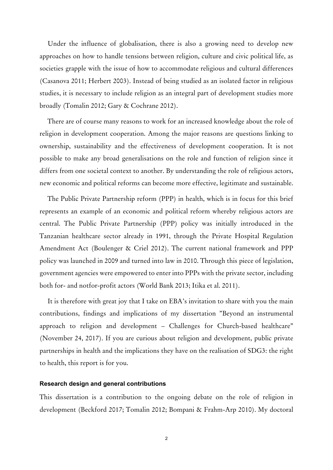Under the influence of globalisation, there is also a growing need to develop new approaches on how to handle tensions between religion, culture and civic political life, as societies grapple with the issue of how to accommodate religious and cultural differences (Casanova 2011; Herbert 2003). Instead of being studied as an isolated factor in religious studies, it is necessary to include religion as an integral part of development studies more broadly (Tomalin 2012; Gary & Cochrane 2012).

There are of course many reasons to work for an increased knowledge about the role of religion in development cooperation. Among the major reasons are questions linking to ownership, sustainability and the effectiveness of development cooperation. It is not possible to make any broad generalisations on the role and function of religion since it differs from one societal context to another. By understanding the role of religious actors, new economic and political reforms can become more effective, legitimate and sustainable.

The Public Private Partnership reform (PPP) in health, which is in focus for this brief represents an example of an economic and political reform whereby religious actors are central. The Public Private Partnership (PPP) policy was initially introduced in the Tanzanian healthcare sector already in 1991, through the Private Hospital Regulation Amendment Act (Boulenger & Criel 2012). The current national framework and PPP policy was launched in 2009 and turned into law in 2010. Through this piece of legislation, government agencies were empowered to enter into PPPs with the private sector, including both for- and notfor-profit actors (World Bank 2013; Itika et al. 2011).

It is therefore with great joy that I take on EBA's invitation to share with you the main contributions, findings and implications of my dissertation "Beyond an instrumental approach to religion and development – Challenges for Church-based healthcare" (November 24, 2017). If you are curious about religion and development, public private partnerships in health and the implications they have on the realisation of SDG3: the right to health, this report is for you.

# **Research design and general contributions**

This dissertation is a contribution to the ongoing debate on the role of religion in development (Beckford 2017; Tomalin 2012; Bompani & Frahm-Arp 2010). My doctoral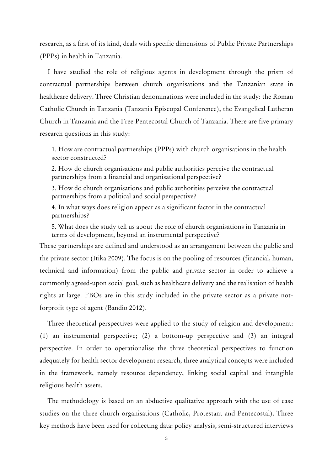research, as a first of its kind, deals with specific dimensions of Public Private Partnerships (PPPs) in health in Tanzania.

I have studied the role of religious agents in development through the prism of contractual partnerships between church organisations and the Tanzanian state in healthcare delivery. Three Christian denominations were included in the study: the Roman Catholic Church in Tanzania (Tanzania Episcopal Conference), the Evangelical Lutheran Church in Tanzania and the Free Pentecostal Church of Tanzania. There are five primary research questions in this study:

1. How are contractual partnerships (PPPs) with church organisations in the health sector constructed?

2. How do church organisations and public authorities perceive the contractual partnerships from a financial and organisational perspective?

3. How do church organisations and public authorities perceive the contractual partnerships from a political and social perspective?

4. In what ways does religion appear as a significant factor in the contractual partnerships?

5. What does the study tell us about the role of church organisations in Tanzania in terms of development, beyond an instrumental perspective?

These partnerships are defined and understood as an arrangement between the public and the private sector (Itika 2009). The focus is on the pooling of resources (financial, human, technical and information) from the public and private sector in order to achieve a commonly agreed-upon social goal, such as healthcare delivery and the realisation of health rights at large. FBOs are in this study included in the private sector as a private notforprofit type of agent (Bandio 2012).

Three theoretical perspectives were applied to the study of religion and development: (1) an instrumental perspective; (2) a bottom-up perspective and (3) an integral perspective. In order to operationalise the three theoretical perspectives to function adequately for health sector development research, three analytical concepts were included in the framework, namely resource dependency, linking social capital and intangible religious health assets.

The methodology is based on an abductive qualitative approach with the use of case studies on the three church organisations (Catholic, Protestant and Pentecostal). Three key methods have been used for collecting data: policy analysis, semi-structured interviews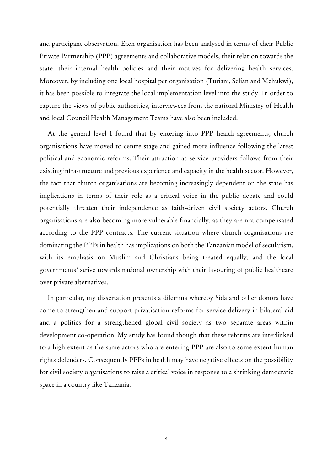and participant observation. Each organisation has been analysed in terms of their Public Private Partnership (PPP) agreements and collaborative models, their relation towards the state, their internal health policies and their motives for delivering health services. Moreover, by including one local hospital per organisation (Turiani, Selian and Mchukwi), it has been possible to integrate the local implementation level into the study. In order to capture the views of public authorities, interviewees from the national Ministry of Health and local Council Health Management Teams have also been included.

At the general level I found that by entering into PPP health agreements, church organisations have moved to centre stage and gained more influence following the latest political and economic reforms. Their attraction as service providers follows from their existing infrastructure and previous experience and capacity in the health sector. However, the fact that church organisations are becoming increasingly dependent on the state has implications in terms of their role as a critical voice in the public debate and could potentially threaten their independence as faith-driven civil society actors. Church organisations are also becoming more vulnerable financially, as they are not compensated according to the PPP contracts. The current situation where church organisations are dominating the PPPs in health has implications on both the Tanzanian model of secularism, with its emphasis on Muslim and Christians being treated equally, and the local governments' strive towards national ownership with their favouring of public healthcare over private alternatives.

In particular, my dissertation presents a dilemma whereby Sida and other donors have come to strengthen and support privatisation reforms for service delivery in bilateral aid and a politics for a strengthened global civil society as two separate areas within development co-operation. My study has found though that these reforms are interlinked to a high extent as the same actors who are entering PPP are also to some extent human rights defenders. Consequently PPPs in health may have negative effects on the possibility for civil society organisations to raise a critical voice in response to a shrinking democratic space in a country like Tanzania.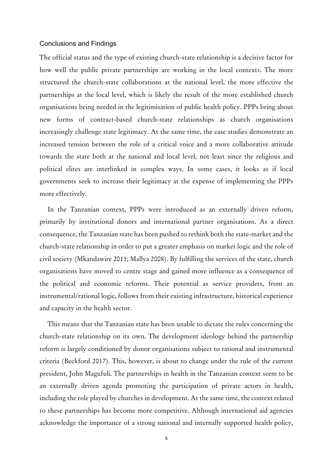# Conclusions and Findings

The official status and the type of existing church-state relationship is a decisive factor for how well the public private partnerships are working in the local contexts. The more structured the church-state collaborations at the national level, the more effective the partnerships at the local level, which is likely the result of the more established church organisations being needed in the legitimisation of public health policy. PPPs bring about new forms of contract-based church-state relationships as church organisations increasingly challenge state legitimacy. At the same time, the case studies demonstrate an increased tension between the role of a critical voice and a more collaborative attitude towards the state both at the national and local level, not least since the religious and political elites are interlinked in complex ways. In some cases, it looks as if local governments seek to increase their legitimacy at the expense of implementing the PPPs more effectively.

In the Tanzanian context, PPPs were introduced as an externally driven reform, primarily by institutional donors and international partner organisations. As a direct consequence, the Tanzanian state has been pushed to rethink both the state-market and the church-state relationship in order to put a greater emphasis on market logic and the role of civil society (Mkandawire 2011; Mallya 2008). By fulfilling the services of the state, church organisations have moved to centre stage and gained more influence as a consequence of the political and economic reforms. Their potential as service providers, from an instrumental/rational logic, follows from their existing infrastructure, historical experience and capacity in the health sector.

This means that the Tanzanian state has been unable to dictate the rules concerning the church-state relationship on its own. The development ideology behind the partnership reform is largely conditioned by donor organisations subject to rational and instrumental criteria (Beckford 2017). This, however, is about to change under the rule of the current president, John Magufuli. The partnerships in health in the Tanzanian context seem to be an externally driven agenda promoting the participation of private actors in health, including the role played by churches in development. At the same time, the context related to these partnerships has become more competitive. Although international aid agencies acknowledge the importance of a strong national and internally supported health policy,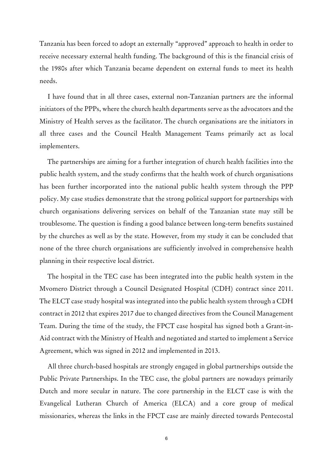Tanzania has been forced to adopt an externally "approved" approach to health in order to receive necessary external health funding. The background of this is the financial crisis of the 1980s after which Tanzania became dependent on external funds to meet its health needs.

I have found that in all three cases, external non-Tanzanian partners are the informal initiators of the PPPs, where the church health departments serve as the advocators and the Ministry of Health serves as the facilitator. The church organisations are the initiators in all three cases and the Council Health Management Teams primarily act as local implementers.

The partnerships are aiming for a further integration of church health facilities into the public health system, and the study confirms that the health work of church organisations has been further incorporated into the national public health system through the PPP policy. My case studies demonstrate that the strong political support for partnerships with church organisations delivering services on behalf of the Tanzanian state may still be troublesome. The question is finding a good balance between long-term benefits sustained by the churches as well as by the state. However, from my study it can be concluded that none of the three church organisations are sufficiently involved in comprehensive health planning in their respective local district.

The hospital in the TEC case has been integrated into the public health system in the Mvomero District through a Council Designated Hospital (CDH) contract since 2011. The ELCT case study hospital was integrated into the public health system through a CDH contract in 2012 that expires 2017 due to changed directives from the Council Management Team. During the time of the study, the FPCT case hospital has signed both a Grant-in-Aid contract with the Ministry of Health and negotiated and started to implement a Service Agreement, which was signed in 2012 and implemented in 2013.

All three church-based hospitals are strongly engaged in global partnerships outside the Public Private Partnerships. In the TEC case, the global partners are nowadays primarily Dutch and more secular in nature. The core partnership in the ELCT case is with the Evangelical Lutheran Church of America (ELCA) and a core group of medical missionaries, whereas the links in the FPCT case are mainly directed towards Pentecostal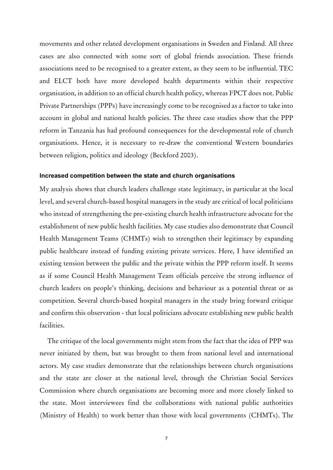movements and other related development organisations in Sweden and Finland. All three cases are also connected with some sort of global friends association. These friends associations need to be recognised to a greater extent, as they seem to be influential. TEC and ELCT both have more developed health departments within their respective organisation, in addition to an official church health policy, whereas FPCT does not. Public Private Partnerships (PPPs) have increasingly come to be recognised as a factor to take into account in global and national health policies. The three case studies show that the PPP reform in Tanzania has had profound consequences for the developmental role of church organisations. Hence, it is necessary to re-draw the conventional Western boundaries between religion, politics and ideology (Beckford 2003).

# **Increased competition between the state and church organisations**

My analysis shows that church leaders challenge state legitimacy, in particular at the local level, and several church-based hospital managers in the study are critical of local politicians who instead of strengthening the pre-existing church health infrastructure advocate for the establishment of new public health facilities. My case studies also demonstrate that Council Health Management Teams (CHMTs) wish to strengthen their legitimacy by expanding public healthcare instead of funding existing private services. Here, I have identified an existing tension between the public and the private within the PPP reform itself. It seems as if some Council Health Management Team officials perceive the strong influence of church leaders on people's thinking, decisions and behaviour as a potential threat or as competition. Several church-based hospital managers in the study bring forward critique and confirm this observation - that local politicians advocate establishing new public health facilities.

The critique of the local governments might stem from the fact that the idea of PPP was never initiated by them, but was brought to them from national level and international actors. My case studies demonstrate that the relationships between church organisations and the state are closer at the national level, through the Christian Social Services Commission where church organisations are becoming more and more closely linked to the state. Most interviewees find the collaborations with national public authorities (Ministry of Health) to work better than those with local governments (CHMTs). The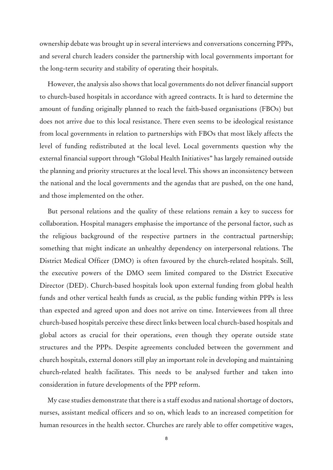ownership debate was brought up in several interviews and conversations concerning PPPs, and several church leaders consider the partnership with local governments important for the long-term security and stability of operating their hospitals.

However, the analysis also shows that local governments do not deliver financial support to church-based hospitals in accordance with agreed contracts. It is hard to determine the amount of funding originally planned to reach the faith-based organisations (FBOs) but does not arrive due to this local resistance. There even seems to be ideological resistance from local governments in relation to partnerships with FBOs that most likely affects the level of funding redistributed at the local level. Local governments question why the external financial support through "Global Health Initiatives" has largely remained outside the planning and priority structures at the local level. This shows an inconsistency between the national and the local governments and the agendas that are pushed, on the one hand, and those implemented on the other.

But personal relations and the quality of these relations remain a key to success for collaboration. Hospital managers emphasise the importance of the personal factor, such as the religious background of the respective partners in the contractual partnership; something that might indicate an unhealthy dependency on interpersonal relations. The District Medical Officer (DMO) is often favoured by the church-related hospitals. Still, the executive powers of the DMO seem limited compared to the District Executive Director (DED). Church-based hospitals look upon external funding from global health funds and other vertical health funds as crucial, as the public funding within PPPs is less than expected and agreed upon and does not arrive on time. Interviewees from all three church-based hospitals perceive these direct links between local church-based hospitals and global actors as crucial for their operations, even though they operate outside state structures and the PPPs. Despite agreements concluded between the government and church hospitals, external donors still play an important role in developing and maintaining church-related health facilitates. This needs to be analysed further and taken into consideration in future developments of the PPP reform.

My case studies demonstrate that there is a staff exodus and national shortage of doctors, nurses, assistant medical officers and so on, which leads to an increased competition for human resources in the health sector. Churches are rarely able to offer competitive wages,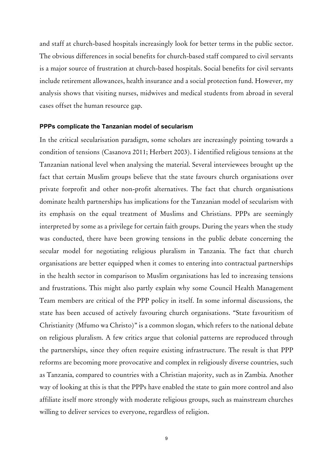and staff at church-based hospitals increasingly look for better terms in the public sector. The obvious differences in social benefits for church-based staff compared to civil servants is a major source of frustration at church-based hospitals. Social benefits for civil servants include retirement allowances, health insurance and a social protection fund. However, my analysis shows that visiting nurses, midwives and medical students from abroad in several cases offset the human resource gap.

## **PPPs complicate the Tanzanian model of secularism**

In the critical secularisation paradigm, some scholars are increasingly pointing towards a condition of tensions (Casanova 2011; Herbert 2003). I identified religious tensions at the Tanzanian national level when analysing the material. Several interviewees brought up the fact that certain Muslim groups believe that the state favours church organisations over private forprofit and other non-profit alternatives. The fact that church organisations dominate health partnerships has implications for the Tanzanian model of secularism with its emphasis on the equal treatment of Muslims and Christians. PPPs are seemingly interpreted by some as a privilege for certain faith groups. During the years when the study was conducted, there have been growing tensions in the public debate concerning the secular model for negotiating religious pluralism in Tanzania. The fact that church organisations are better equipped when it comes to entering into contractual partnerships in the health sector in comparison to Muslim organisations has led to increasing tensions and frustrations. This might also partly explain why some Council Health Management Team members are critical of the PPP policy in itself. In some informal discussions, the state has been accused of actively favouring church organisations. "State favouritism of Christianity (Mfumo wa Christo)" is a common slogan, which refers to the national debate on religious pluralism. A few critics argue that colonial patterns are reproduced through the partnerships, since they often require existing infrastructure. The result is that PPP reforms are becoming more provocative and complex in religiously diverse countries, such as Tanzania, compared to countries with a Christian majority, such as in Zambia. Another way of looking at this is that the PPPs have enabled the state to gain more control and also affiliate itself more strongly with moderate religious groups, such as mainstream churches willing to deliver services to everyone, regardless of religion.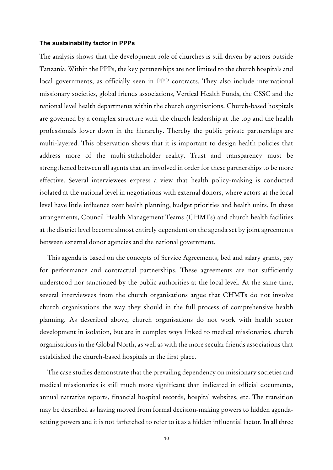# **The sustainability factor in PPPs**

The analysis shows that the development role of churches is still driven by actors outside Tanzania. Within the PPPs, the key partnerships are not limited to the church hospitals and local governments, as officially seen in PPP contracts. They also include international missionary societies, global friends associations, Vertical Health Funds, the CSSC and the national level health departments within the church organisations. Church-based hospitals are governed by a complex structure with the church leadership at the top and the health professionals lower down in the hierarchy. Thereby the public private partnerships are multi-layered. This observation shows that it is important to design health policies that address more of the multi-stakeholder reality. Trust and transparency must be strengthened between all agents that are involved in order for these partnerships to be more effective. Several interviewees express a view that health policy-making is conducted isolated at the national level in negotiations with external donors, where actors at the local level have little influence over health planning, budget priorities and health units. In these arrangements, Council Health Management Teams (CHMTs) and church health facilities at the district level become almost entirely dependent on the agenda set by joint agreements between external donor agencies and the national government.

This agenda is based on the concepts of Service Agreements, bed and salary grants, pay for performance and contractual partnerships. These agreements are not sufficiently understood nor sanctioned by the public authorities at the local level. At the same time, several interviewees from the church organisations argue that CHMTs do not involve church organisations the way they should in the full process of comprehensive health planning. As described above, church organisations do not work with health sector development in isolation, but are in complex ways linked to medical missionaries, church organisations in the Global North, as well as with the more secular friends associations that established the church-based hospitals in the first place.

The case studies demonstrate that the prevailing dependency on missionary societies and medical missionaries is still much more significant than indicated in official documents, annual narrative reports, financial hospital records, hospital websites, etc. The transition may be described as having moved from formal decision-making powers to hidden agendasetting powers and it is not farfetched to refer to it as a hidden influential factor. In all three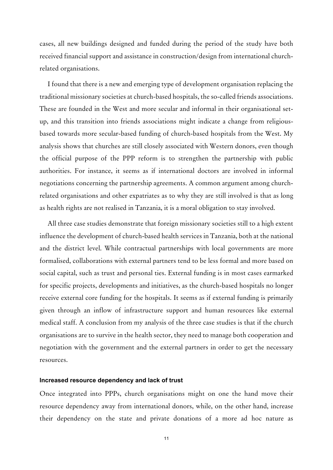cases, all new buildings designed and funded during the period of the study have both received financial support and assistance in construction/design from international churchrelated organisations.

I found that there is a new and emerging type of development organisation replacing the traditional missionary societies at church-based hospitals, the so-called friends associations. These are founded in the West and more secular and informal in their organisational setup, and this transition into friends associations might indicate a change from religiousbased towards more secular-based funding of church-based hospitals from the West. My analysis shows that churches are still closely associated with Western donors, even though the official purpose of the PPP reform is to strengthen the partnership with public authorities. For instance, it seems as if international doctors are involved in informal negotiations concerning the partnership agreements. A common argument among churchrelated organisations and other expatriates as to why they are still involved is that as long as health rights are not realised in Tanzania, it is a moral obligation to stay involved.

All three case studies demonstrate that foreign missionary societies still to a high extent influence the development of church-based health services in Tanzania, both at the national and the district level. While contractual partnerships with local governments are more formalised, collaborations with external partners tend to be less formal and more based on social capital, such as trust and personal ties. External funding is in most cases earmarked for specific projects, developments and initiatives, as the church-based hospitals no longer receive external core funding for the hospitals. It seems as if external funding is primarily given through an inflow of infrastructure support and human resources like external medical staff. A conclusion from my analysis of the three case studies is that if the church organisations are to survive in the health sector, they need to manage both cooperation and negotiation with the government and the external partners in order to get the necessary resources.

#### **Increased resource dependency and lack of trust**

Once integrated into PPPs, church organisations might on one the hand move their resource dependency away from international donors, while, on the other hand, increase their dependency on the state and private donations of a more ad hoc nature as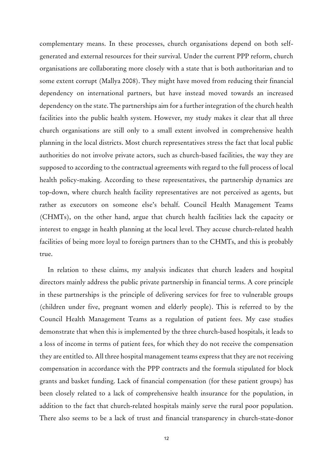complementary means. In these processes, church organisations depend on both selfgenerated and external resources for their survival. Under the current PPP reform, church organisations are collaborating more closely with a state that is both authoritarian and to some extent corrupt (Mallya 2008). They might have moved from reducing their financial dependency on international partners, but have instead moved towards an increased dependency on the state. The partnerships aim for a further integration of the church health facilities into the public health system. However, my study makes it clear that all three church organisations are still only to a small extent involved in comprehensive health planning in the local districts. Most church representatives stress the fact that local public authorities do not involve private actors, such as church-based facilities, the way they are supposed to according to the contractual agreements with regard to the full process of local health policy-making. According to these representatives, the partnership dynamics are top-down, where church health facility representatives are not perceived as agents, but rather as executors on someone else's behalf. Council Health Management Teams (CHMTs), on the other hand, argue that church health facilities lack the capacity or interest to engage in health planning at the local level. They accuse church-related health facilities of being more loyal to foreign partners than to the CHMTs, and this is probably true.

In relation to these claims, my analysis indicates that church leaders and hospital directors mainly address the public private partnership in financial terms. A core principle in these partnerships is the principle of delivering services for free to vulnerable groups (children under five, pregnant women and elderly people). This is referred to by the Council Health Management Teams as a regulation of patient fees. My case studies demonstrate that when this is implemented by the three church-based hospitals, it leads to a loss of income in terms of patient fees, for which they do not receive the compensation they are entitled to. All three hospital management teams express that they are not receiving compensation in accordance with the PPP contracts and the formula stipulated for block grants and basket funding. Lack of financial compensation (for these patient groups) has been closely related to a lack of comprehensive health insurance for the population, in addition to the fact that church-related hospitals mainly serve the rural poor population. There also seems to be a lack of trust and financial transparency in church-state-donor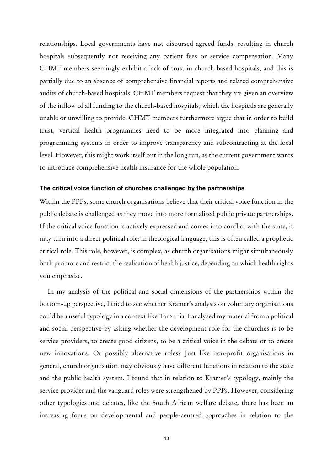relationships. Local governments have not disbursed agreed funds, resulting in church hospitals subsequently not receiving any patient fees or service compensation. Many CHMT members seemingly exhibit a lack of trust in church-based hospitals, and this is partially due to an absence of comprehensive financial reports and related comprehensive audits of church-based hospitals. CHMT members request that they are given an overview of the inflow of all funding to the church-based hospitals, which the hospitals are generally unable or unwilling to provide. CHMT members furthermore argue that in order to build trust, vertical health programmes need to be more integrated into planning and programming systems in order to improve transparency and subcontracting at the local level. However, this might work itself out in the long run, as the current government wants to introduce comprehensive health insurance for the whole population.

# **The critical voice function of churches challenged by the partnerships**

Within the PPPs, some church organisations believe that their critical voice function in the public debate is challenged as they move into more formalised public private partnerships. If the critical voice function is actively expressed and comes into conflict with the state, it may turn into a direct political role: in theological language, this is often called a prophetic critical role. This role, however, is complex, as church organisations might simultaneously both promote and restrict the realisation of health justice, depending on which health rights you emphasise.

In my analysis of the political and social dimensions of the partnerships within the bottom-up perspective, I tried to see whether Kramer's analysis on voluntary organisations could be a useful typology in a context like Tanzania. I analysed my material from a political and social perspective by asking whether the development role for the churches is to be service providers, to create good citizens, to be a critical voice in the debate or to create new innovations. Or possibly alternative roles? Just like non-profit organisations in general, church organisation may obviously have different functions in relation to the state and the public health system. I found that in relation to Kramer's typology, mainly the service provider and the vanguard roles were strengthened by PPPs. However, considering other typologies and debates, like the South African welfare debate, there has been an increasing focus on developmental and people-centred approaches in relation to the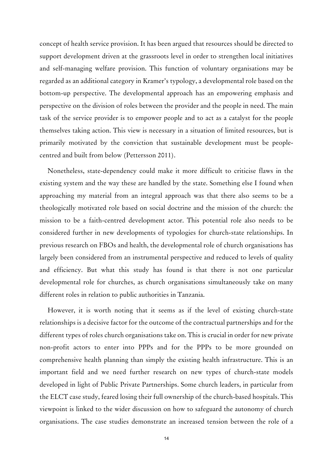concept of health service provision. It has been argued that resources should be directed to support development driven at the grassroots level in order to strengthen local initiatives and self-managing welfare provision. This function of voluntary organisations may be regarded as an additional category in Kramer's typology, a developmental role based on the bottom-up perspective. The developmental approach has an empowering emphasis and perspective on the division of roles between the provider and the people in need. The main task of the service provider is to empower people and to act as a catalyst for the people themselves taking action. This view is necessary in a situation of limited resources, but is primarily motivated by the conviction that sustainable development must be peoplecentred and built from below (Pettersson 2011).

Nonetheless, state-dependency could make it more difficult to criticise flaws in the existing system and the way these are handled by the state. Something else I found when approaching my material from an integral approach was that there also seems to be a theologically motivated role based on social doctrine and the mission of the church: the mission to be a faith-centred development actor. This potential role also needs to be considered further in new developments of typologies for church-state relationships. In previous research on FBOs and health, the developmental role of church organisations has largely been considered from an instrumental perspective and reduced to levels of quality and efficiency. But what this study has found is that there is not one particular developmental role for churches, as church organisations simultaneously take on many different roles in relation to public authorities in Tanzania.

However, it is worth noting that it seems as if the level of existing church-state relationships is a decisive factor for the outcome of the contractual partnerships and for the different types of roles church organisations take on. This is crucial in order for new private non-profit actors to enter into PPPs and for the PPPs to be more grounded on comprehensive health planning than simply the existing health infrastructure. This is an important field and we need further research on new types of church-state models developed in light of Public Private Partnerships. Some church leaders, in particular from the ELCT case study, feared losing their full ownership of the church-based hospitals. This viewpoint is linked to the wider discussion on how to safeguard the autonomy of church organisations. The case studies demonstrate an increased tension between the role of a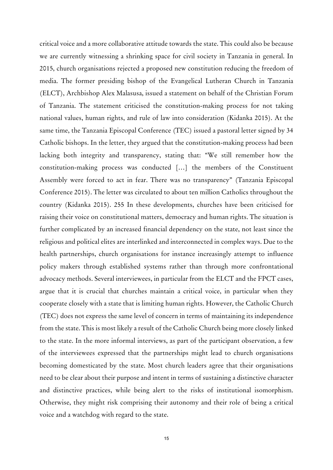critical voice and a more collaborative attitude towards the state. This could also be because we are currently witnessing a shrinking space for civil society in Tanzania in general. In 2015, church organisations rejected a proposed new constitution reducing the freedom of media. The former presiding bishop of the Evangelical Lutheran Church in Tanzania (ELCT), Archbishop Alex Malasusa, issued a statement on behalf of the Christian Forum of Tanzania. The statement criticised the constitution-making process for not taking national values, human rights, and rule of law into consideration (Kidanka 2015). At the same time, the Tanzania Episcopal Conference (TEC) issued a pastoral letter signed by 34 Catholic bishops. In the letter, they argued that the constitution-making process had been lacking both integrity and transparency, stating that: "We still remember how the constitution-making process was conducted […] the members of the Constituent Assembly were forced to act in fear. There was no transparency" (Tanzania Episcopal Conference 2015). The letter was circulated to about ten million Catholics throughout the country (Kidanka 2015). 255 In these developments, churches have been criticised for raising their voice on constitutional matters, democracy and human rights. The situation is further complicated by an increased financial dependency on the state, not least since the religious and political elites are interlinked and interconnected in complex ways. Due to the health partnerships, church organisations for instance increasingly attempt to influence policy makers through established systems rather than through more confrontational advocacy methods. Several interviewees, in particular from the ELCT and the FPCT cases, argue that it is crucial that churches maintain a critical voice, in particular when they cooperate closely with a state that is limiting human rights. However, the Catholic Church (TEC) does not express the same level of concern in terms of maintaining its independence from the state. This is most likely a result of the Catholic Church being more closely linked to the state. In the more informal interviews, as part of the participant observation, a few of the interviewees expressed that the partnerships might lead to church organisations becoming domesticated by the state. Most church leaders agree that their organisations need to be clear about their purpose and intent in terms of sustaining a distinctive character and distinctive practices, while being alert to the risks of institutional isomorphism. Otherwise, they might risk comprising their autonomy and their role of being a critical voice and a watchdog with regard to the state.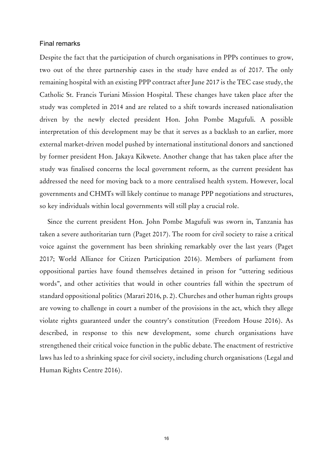# Final remarks

Despite the fact that the participation of church organisations in PPPs continues to grow, two out of the three partnership cases in the study have ended as of 2017. The only remaining hospital with an existing PPP contract after June 2017 is the TEC case study, the Catholic St. Francis Turiani Mission Hospital. These changes have taken place after the study was completed in 2014 and are related to a shift towards increased nationalisation driven by the newly elected president Hon. John Pombe Magufuli. A possible interpretation of this development may be that it serves as a backlash to an earlier, more external market-driven model pushed by international institutional donors and sanctioned by former president Hon. Jakaya Kikwete. Another change that has taken place after the study was finalised concerns the local government reform, as the current president has addressed the need for moving back to a more centralised health system. However, local governments and CHMTs will likely continue to manage PPP negotiations and structures, so key individuals within local governments will still play a crucial role.

Since the current president Hon. John Pombe Magufuli was sworn in, Tanzania has taken a severe authoritarian turn (Paget 2017). The room for civil society to raise a critical voice against the government has been shrinking remarkably over the last years (Paget 2017; World Alliance for Citizen Participation 2016). Members of parliament from oppositional parties have found themselves detained in prison for "uttering seditious words", and other activities that would in other countries fall within the spectrum of standard oppositional politics (Marari 2016, p. 2). Churches and other human rights groups are vowing to challenge in court a number of the provisions in the act, which they allege violate rights guaranteed under the country's constitution (Freedom House 2016). As described, in response to this new development, some church organisations have strengthened their critical voice function in the public debate. The enactment of restrictive laws has led to a shrinking space for civil society, including church organisations (Legal and Human Rights Centre 2016).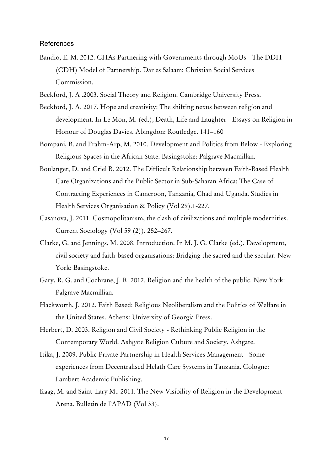# References

Bandio, E. M. 2012. CHAs Partnering with Governments through MoUs - The DDH (CDH) Model of Partnership. Dar es Salaam: Christian Social Services Commission.

Beckford, J. A .2003. Social Theory and Religion. Cambridge University Press.

- Beckford, J. A. 2017. Hope and creativity: The shifting nexus between religion and development. In Le Mon, M. (ed.), Death, Life and Laughter - Essays on Religion in Honour of Douglas Davies. Abingdon: Routledge. 141–160
- Bompani, B. and Frahm-Arp, M. 2010. Development and Politics from Below Exploring Religious Spaces in the African State. Basingstoke: Palgrave Macmillan.
- Boulanger, D. and Criel B. 2012. The Difficult Relationship between Faith-Based Health Care Organizations and the Public Sector in Sub-Saharan Africa: The Case of Contracting Experiences in Cameroon, Tanzania, Chad and Uganda. Studies in Health Services Organisation & Policy (Vol 29).1-227.
- Casanova, J. 2011. Cosmopolitanism, the clash of civilizations and multiple modernities. Current Sociology (Vol 59 (2)). 252–267.
- Clarke, G. and Jennings, M. 2008. Introduction. In M. J. G. Clarke (ed.), Development, civil society and faith-based organisations: Bridging the sacred and the secular. New York: Basingstoke.
- Gary, R. G. and Cochrane, J. R. 2012. Religion and the health of the public. New York: Palgrave Macmillian.
- Hackworth, J. 2012. Faith Based: Religious Neoliberalism and the Politics of Welfare in the United States. Athens: University of Georgia Press.
- Herbert, D. 2003. Religion and Civil Society Rethinking Public Religion in the Contemporary World. Ashgate Religion Culture and Society. Ashgate.
- Itika, J. 2009. Public Private Partnership in Health Services Management Some experiences from Decentralised Helath Care Systems in Tanzania. Cologne: Lambert Academic Publishing.
- Kaag, M. and Saint-Lary M.. 2011. The New Visibility of Religion in the Development Arena. Bulletin de l'APAD (Vol 33).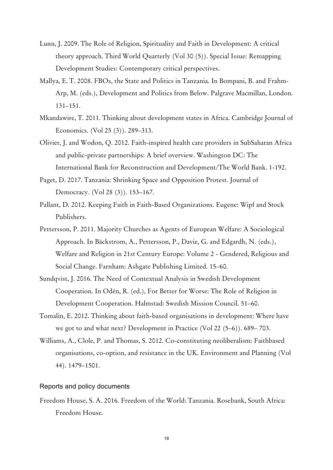- Lunn, J. 2009. The Role of Religion, Spirituality and Faith in Development: A critical theory approach. Third World Quarterly (Vol 30 (5)). Special Issue: Remapping Development Studies: Contemporary critical perspectives.
- Mallya, E. T. 2008. FBOs, the State and Politics in Tanzania. In Bompani, B. and Frahm-Arp, M. (eds.), Development and Politics from Below. Palgrave Macmillan, London. 131–151.
- Mkandawire, T. 2011. Thinking about development states in Africa. Cambridge Journal of Economics. (Vol 25 (3)). 289–313.
- Olivier, J. and Wodon, Q. 2012. Faith-inspired health care providers in SubSaharan Africa and public-private partnerships: A brief overview. Washington DC: The International Bank for Reconstruction and Development/The World Bank. 1-192.
- Paget, D. 2017. Tanzania: Shrinking Space and Opposition Protest. Journal of Democracy. (Vol 28 (3)). 153–167.
- Pallant, D. 2012. Keeping Faith in Faith-Based Organizations. Eugene: Wipf and Stock Publishers.
- Pettersson, P. 2011. Majority Churches as Agents of European Welfare: A Sociological Approach. In Bäckstrom, A., Pettersson, P., Davie, G. and Edgardh, N. (eds.), Welfare and Religion in 21st Century Europe: Volume 2 - Gendered, Religious and Social Change. Farnham: Ashgate Publishing Limited. 15–60.
- Sundqvist, J. 2016. The Need of Contextual Analysis in Swedish Development Cooperation. In Odén, R. (ed.), For Better for Worse: The Role of Religion in Development Cooperation. Halmstad: Swedish Mission Council. 51–60.
- Tomalin, E. 2012. Thinking about faith-based organisations in development: Where have we got to and what next? Development in Practice (Vol 22 (5–6)). 689– 703.
- Williams, A., Clole, P. and Thomas, S. 2012. Co-constituting neoliberalism: Faithbased organisations, co-option, and resistance in the UK. Environment and Planning (Vol 44). 1479–1501.

# Reports and policy documents

Freedom House, S. A. 2016. Freedom of the World: Tanzania. Rosebank, South Africa: Freedom House.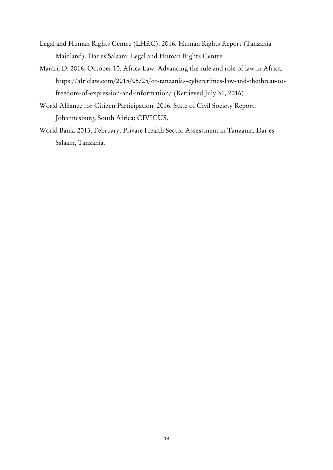- Legal and Human Rights Centre (LHRC). 2016. Human Rights Report (Tanzania Mainland). Dar es Salaam: Legal and Human Rights Centre.
- Marari, D. 2016, October 10. Africa Law: Advancing the rule and role of law in Africa. https://africlaw.com/2015/05/25/of-tanzanias-cybercrimes-law-and-thethreat-tofreedom-of-expression-and-information/ (Retrieved July 31, 2016).
- World Alliance for Citizen Participation. 2016. State of Civil Society Report. Johannesburg, South Africa: CIVICUS.
- World Bank. 2013, February. Private Health Sector Assessment in Tanzania. Dar es Salaam, Tanzania.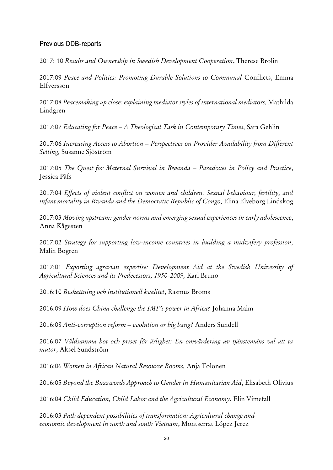# Previous DDB-reports

2017: 10 *Results and Ownership in Swedish Development Cooperation*, Therese Brolin

2017:09 *Peace and Politics: Promoting Durable Solutions to Communal* Conflicts, Emma Elfversson

2017:08 *Peacemaking up close: explaining mediator styles of international mediators,* Mathilda Lindgren

2017:07 *Educating for Peace – A Theological Task in Contemporary Times,* Sara Gehlin

2017:06 *Increasing Access to Abortion – Perspectives on Provider Availability from Different Setting*, Susanne Sjöström

2017:05 *The Quest for Maternal Survival in Rwanda – Paradoxes in Policy and Practice*, Jessica Påfs

2017:04 *Effects of violent conflict on women and children. Sexual behaviour, fertility, and infant mortality in Rwanda and the Democratic Republic of Congo*, Elina Elveborg Lindskog

2017:03 *Moving upstream: gender norms and emerging sexual experiences in early adolescence*, Anna Kågesten

2017:02 *Strategy for supporting low-income countries in building a midwifery profession,*  Malin Bogren

2017:01 *Exporting agrarian expertise: Development Aid at the Swedish University of Agricultural Sciences and its Predecessors, 1950-2009,* Karl Bruno

2016:10 *Beskattning och institutionell kvalitet*, Rasmus Broms

2016:09 *How does China challenge the IMF's power in Africa?* Johanna Malm

2016:08 *Anti-corruption reform – evolution or big bang?* Anders Sundell

2016:07 *Våldsamma hot och priset för ärlighet: En omvärdering av tjänstemäns val att ta mutor*, Aksel Sundström

2016:06 *Women in African Natural Resource Booms,* Anja Tolonen

2016:05 *Beyond the Buzzwords Approach to Gender in Humanitarian Aid*, Elisabeth Olivius

2016:04 *Child Education, Child Labor and the Agricultural Economy*, Elin Vimefall

2016:03 *Path dependent possibilities of transformation: Agricultural change and economic development in north and south Vietnam*, Montserrat López Jerez